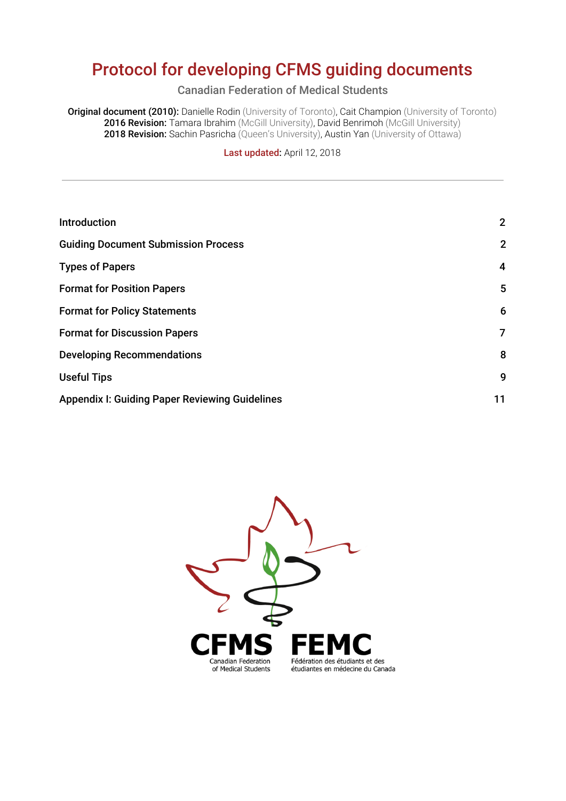# Protocol for developing CFMS guiding documents

Canadian Federation of Medical Students

**Original document (2010):** Danielle Rodin (University of Toronto), Cait Champion (University of Toronto) 2016 Revision: Tamara Ibrahim (McGill University), David Benrimoh (McGill University) 2018 Revision: Sachin Pasricha (Queen's University), Austin Yan (University of Ottawa)

Last updated: April 12, 2018

| Introduction                                          | $\mathbf{2}$   |
|-------------------------------------------------------|----------------|
| <b>Guiding Document Submission Process</b>            | $\mathbf{2}$   |
| <b>Types of Papers</b>                                | 4              |
| <b>Format for Position Papers</b>                     | 5              |
| <b>Format for Policy Statements</b>                   | 6              |
| <b>Format for Discussion Papers</b>                   | $\overline{7}$ |
| <b>Developing Recommendations</b>                     | 8              |
| <b>Useful Tips</b>                                    | 9              |
| <b>Appendix I: Guiding Paper Reviewing Guidelines</b> | 11             |
|                                                       |                |

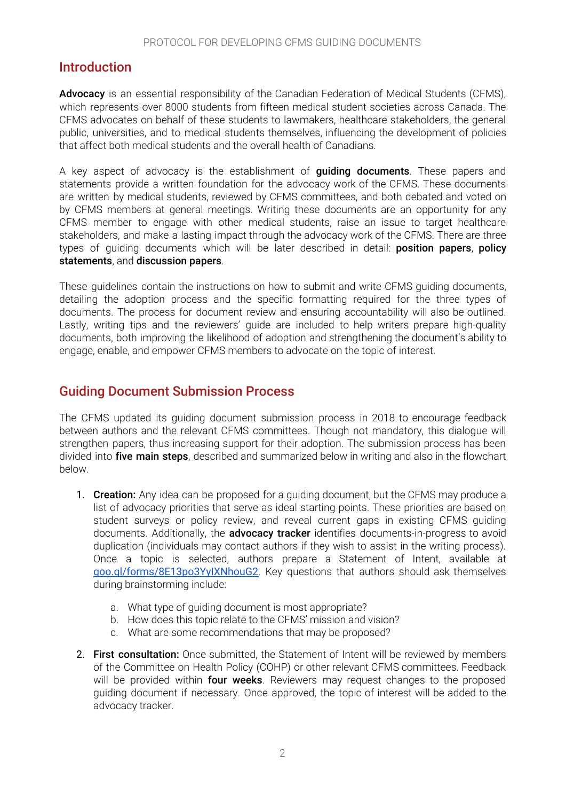### <span id="page-1-0"></span>Introduction

Advocacy is an essential responsibility of the Canadian Federation of Medical Students (CFMS), which represents over 8000 students from fifteen medical student societies across Canada. The CFMS advocates on behalf of these students to lawmakers, healthcare stakeholders, the general public, universities, and to medical students themselves, influencing the development of policies that affect both medical students and the overall health of Canadians.

A key aspect of advocacy is the establishment of **quiding documents**. These papers and statements provide a written foundation for the advocacy work of the CFMS. These documents are written by medical students, reviewed by CFMS committees, and both debated and voted on by CFMS members at general meetings. Writing these documents are an opportunity for any CFMS member to engage with other medical students, raise an issue to target healthcare stakeholders, and make a lasting impact through the advocacy work of the CFMS. There are three types of quiding documents which will be later described in detail: **position papers, policy** statements, and discussion papers.

These guidelines contain the instructions on how to submit and write CFMS guiding documents, detailing the adoption process and the specific formatting required for the three types of documents. The process for document review and ensuring accountability will also be outlined. Lastly, writing tips and the reviewers' guide are included to help writers prepare high-quality documents, both improving the likelihood of adoption and strengthening the document's ability to engage, enable, and empower CFMS members to advocate on the topic of interest.

### <span id="page-1-1"></span>Guiding Document Submission Process

The CFMS updated its guiding document submission process in 2018 to encourage feedback between authors and the relevant CFMS committees. Though not mandatory, this dialogue will strengthen papers, thus increasing support for their adoption. The submission process has been divided into **five main steps**, described and summarized below in writing and also in the flowchart below.

- 1. Creation: Any idea can be proposed for a quiding document, but the CFMS may produce a list of advocacy priorities that serve as ideal starting points. These priorities are based on student surveys or policy review, and reveal current gaps in existing CFMS guiding documents. Additionally, the **advocacy tracker** identifies documents-in-progress to avoid duplication (individuals may contact authors if they wish to assist in the writing process). Once a topic is selected, authors prepare a Statement of Intent, available at [goo.gl/forms/8E13po3YyIXNhouG2](https://goo.gl/forms/8E13po3YyIXNhouG2). Key questions that authors should ask themselves during brainstorming include:
	- a. What type of guiding document is most appropriate?
	- b. How does this topic relate to the CFMS' mission and vision?
	- c. What are some recommendations that may be proposed?
- 2. First consultation: Once submitted, the Statement of Intent will be reviewed by members of the Committee on Health Policy (COHP) or other relevant CFMS committees. Feedback will be provided within **four weeks**. Reviewers may request changes to the proposed guiding document if necessary. Once approved, the topic of interest will be added to the advocacy tracker.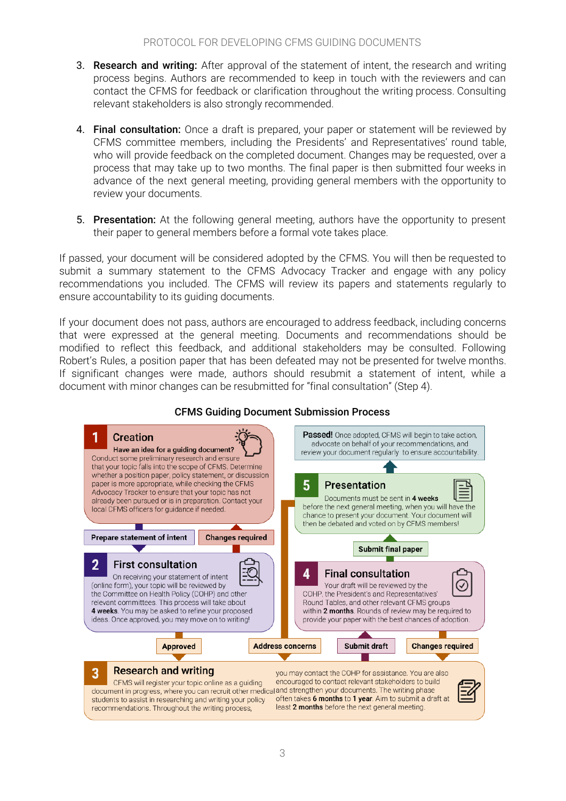- 3. **Research and writing:** After approval of the statement of intent, the research and writing process begins. Authors are recommended to keep in touch with the reviewers and can contact the CFMS for feedback or clarification throughout the writing process. Consulting relevant stakeholders is also strongly recommended.
- 4. Final consultation: Once a draft is prepared, your paper or statement will be reviewed by CFMS committee members, including the Presidents' and Representatives' round table, who will provide feedback on the completed document. Changes may be requested, over a process that may take up to two months. The final paper is then submitted four weeks in advance of the next general meeting, providing general members with the opportunity to review your documents.
- 5. Presentation: At the following general meeting, authors have the opportunity to present their paper to general members before a formal vote takes place.

If passed, your document will be considered adopted by the CFMS. You will then be requested to submit a summary statement to the CFMS Advocacy Tracker and engage with any policy recommendations you included. The CFMS will review its papers and statements regularly to ensure accountability to its guiding documents.

If your document does not pass, authors are encouraged to address feedback, including concerns that were expressed at the general meeting. Documents and recommendations should be modified to reflect this feedback, and additional stakeholders may be consulted. Following Robert's Rules, a position paper that has been defeated may not be presented for twelve months. If significant changes were made, authors should resubmit a statement of intent, while a document with minor changes can be resubmitted for "final consultation" (Step 4).



#### CFMS Guiding Document Submission Process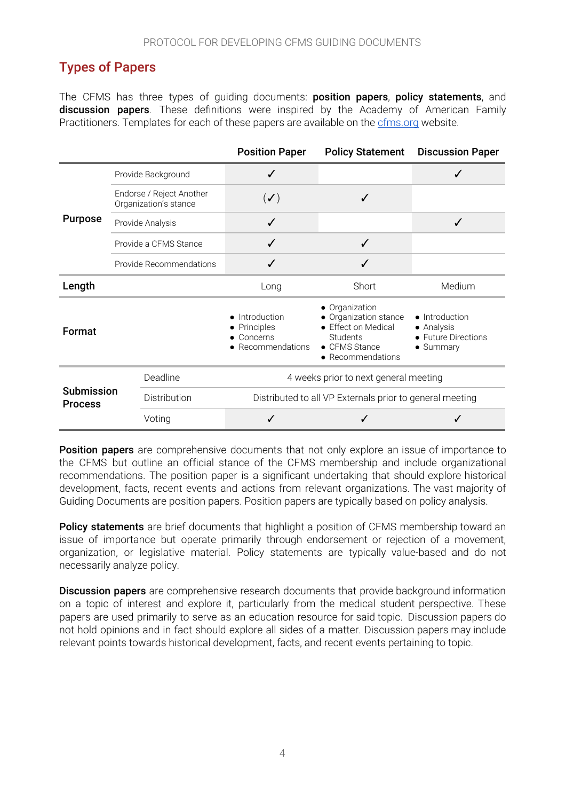# <span id="page-3-0"></span>Types of Papers

The CFMS has three types of guiding documents: position papers, policy statements, and discussion papers. These definitions were inspired by the Academy of American Family Practitioners. Templates for each of these papers are available on the [cfms.org](https://www.cfms.org/what-we-do/advocacy/position-papers.html) website.

|                                     |                                                   | <b>Position Paper</b>                                     | <b>Policy Statement</b>                                                                                          | <b>Discussion Paper</b>                                          |
|-------------------------------------|---------------------------------------------------|-----------------------------------------------------------|------------------------------------------------------------------------------------------------------------------|------------------------------------------------------------------|
| <b>Purpose</b>                      | Provide Background                                |                                                           |                                                                                                                  |                                                                  |
|                                     | Endorse / Reject Another<br>Organization's stance | $(\blacktriangledown)$                                    | ✓                                                                                                                |                                                                  |
|                                     | Provide Analysis                                  | $\checkmark$                                              |                                                                                                                  | ✓                                                                |
|                                     | Provide a CFMS Stance                             |                                                           | ✓                                                                                                                |                                                                  |
|                                     | Provide Recommendations                           |                                                           |                                                                                                                  |                                                                  |
| Length                              |                                                   | Long                                                      | Short                                                                                                            | Medium                                                           |
| Format                              |                                                   | Introduction<br>Principles<br>Concerns<br>Recommendations | • Organization<br>• Organization stance<br>• Effect on Medical<br>Students<br>• CFMS Stance<br>• Recommendations | • Introduction<br>• Analysis<br>• Future Directions<br>• Summary |
|                                     | Deadline                                          | 4 weeks prior to next general meeting                     |                                                                                                                  |                                                                  |
| <b>Submission</b><br><b>Process</b> | Distribution                                      | Distributed to all VP Externals prior to general meeting  |                                                                                                                  |                                                                  |
|                                     | Voting                                            | ✓                                                         |                                                                                                                  | ✓                                                                |

**Position papers** are comprehensive documents that not only explore an issue of importance to the CFMS but outline an official stance of the CFMS membership and include organizational recommendations. The position paper is a significant undertaking that should explore historical development, facts, recent events and actions from relevant organizations. The vast majority of Guiding Documents are position papers. Position papers are typically based on policy analysis.

**Policy statements** are brief documents that highlight a position of CFMS membership toward an issue of importance but operate primarily through endorsement or rejection of a movement, organization, or legislative material. Policy statements are typically value-based and do not necessarily analyze policy.

**Discussion papers** are comprehensive research documents that provide background information on a topic of interest and explore it, particularly from the medical student perspective. These papers are used primarily to serve as an education resource for said topic. Discussion papers do not hold opinions and in fact should explore all sides of a matter. Discussion papers may include relevant points towards historical development, facts, and recent events pertaining to topic.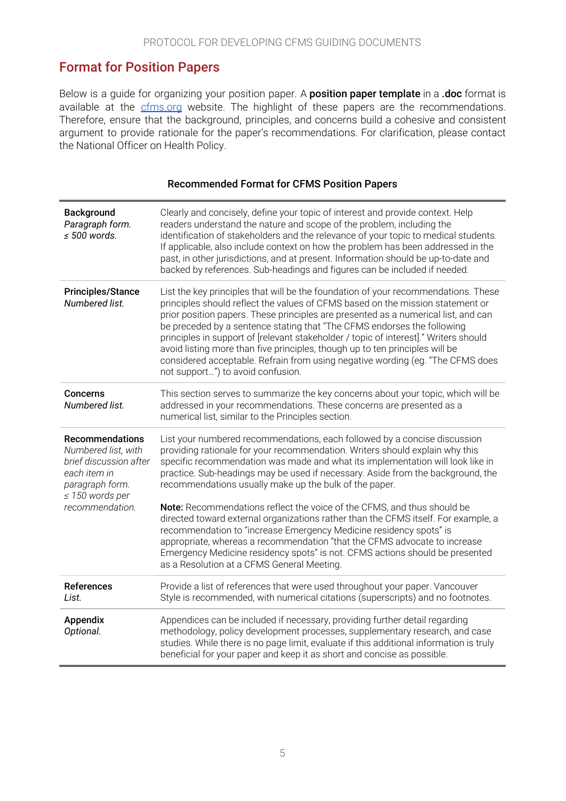### <span id="page-4-0"></span>Format for Position Papers

Below is a guide for organizing your position paper. A **position paper template** in a .doc format is available at the [cfms.org](https://www.cfms.org/what-we-do/advocacy/position-papers.html) website. The highlight of these papers are the recommendations. Therefore, ensure that the background, principles, and concerns build a cohesive and consistent argument to provide rationale for the paper's recommendations. For clarification, please contact the National Officer on Health Policy.

| <b>Background</b><br>Paragraph form.<br>$\leq 500$ words.                                                                                             | Clearly and concisely, define your topic of interest and provide context. Help<br>readers understand the nature and scope of the problem, including the<br>identification of stakeholders and the relevance of your topic to medical students.<br>If applicable, also include context on how the problem has been addressed in the<br>past, in other jurisdictions, and at present. Information should be up-to-date and<br>backed by references. Sub-headings and figures can be included if needed.                                                                                                                                |
|-------------------------------------------------------------------------------------------------------------------------------------------------------|--------------------------------------------------------------------------------------------------------------------------------------------------------------------------------------------------------------------------------------------------------------------------------------------------------------------------------------------------------------------------------------------------------------------------------------------------------------------------------------------------------------------------------------------------------------------------------------------------------------------------------------|
| <b>Principles/Stance</b><br>Numbered list.                                                                                                            | List the key principles that will be the foundation of your recommendations. These<br>principles should reflect the values of CFMS based on the mission statement or<br>prior position papers. These principles are presented as a numerical list, and can<br>be preceded by a sentence stating that "The CFMS endorses the following<br>principles in support of [relevant stakeholder / topic of interest]." Writers should<br>avoid listing more than five principles, though up to ten principles will be<br>considered acceptable. Refrain from using negative wording (eg. "The CFMS does<br>not support") to avoid confusion. |
| Concerns<br>Numbered list.                                                                                                                            | This section serves to summarize the key concerns about your topic, which will be<br>addressed in your recommendations. These concerns are presented as a<br>numerical list, similar to the Principles section.                                                                                                                                                                                                                                                                                                                                                                                                                      |
| <b>Recommendations</b><br>Numbered list, with<br>brief discussion after<br>each item in<br>paragraph form.<br>$\leq$ 150 words per<br>recommendation. | List your numbered recommendations, each followed by a concise discussion<br>providing rationale for your recommendation. Writers should explain why this<br>specific recommendation was made and what its implementation will look like in<br>practice. Sub-headings may be used if necessary. Aside from the background, the<br>recommendations usually make up the bulk of the paper.                                                                                                                                                                                                                                             |
|                                                                                                                                                       | Note: Recommendations reflect the voice of the CFMS, and thus should be<br>directed toward external organizations rather than the CFMS itself. For example, a<br>recommendation to "increase Emergency Medicine residency spots" is<br>appropriate, whereas a recommendation "that the CFMS advocate to increase<br>Emergency Medicine residency spots" is not. CFMS actions should be presented<br>as a Resolution at a CFMS General Meeting.                                                                                                                                                                                       |
| References<br>List.                                                                                                                                   | Provide a list of references that were used throughout your paper. Vancouver<br>Style is recommended, with numerical citations (superscripts) and no footnotes.                                                                                                                                                                                                                                                                                                                                                                                                                                                                      |
| Appendix<br>Optional.                                                                                                                                 | Appendices can be included if necessary, providing further detail regarding<br>methodology, policy development processes, supplementary research, and case<br>studies. While there is no page limit, evaluate if this additional information is truly<br>beneficial for your paper and keep it as short and concise as possible.                                                                                                                                                                                                                                                                                                     |

#### Recommended Format for CFMS Position Papers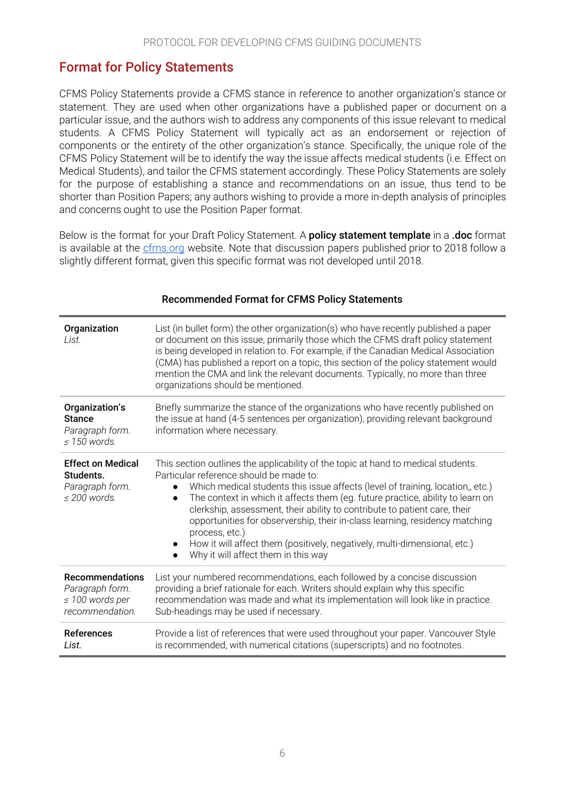### <span id="page-5-0"></span>Format for Policy Statements

CFMS Policy Statements provide a CFMS stance in reference to another organization's stance or statement. They are used when other organizations have a published paper or document on a particular issue, and the authors wish to address any components of this issue relevant to medical students. A CFMS Policy Statement will typically act as an endorsement or rejection of components or the entirety of the other organization's stance. Specifically, the unique role of the CFMS Policy Statement will be to identify the way the issue affects medical students (i.e. Effect on Medical Students), and tailor the CFMS statement accordingly. These Policy Statements are solely for the purpose of establishing a stance and recommendations on an issue, thus tend to be shorter than Position Papers; any authors wishing to provide a more in-depth analysis of principles and concerns ought to use the Position Paper format.

Below is the format for your Draft Policy Statement. A **policy statement template** in a .doc format is available at the [cfms.org](https://www.cfms.org/what-we-do/advocacy/position-papers.html) website. Note that discussion papers published prior to 2018 follow a slightly different format, given this specific format was not developed until 2018.

| Organization<br>List.                                                                | List (in bullet form) the other organization(s) who have recently published a paper<br>or document on this issue, primarily those which the CFMS draft policy statement<br>is being developed in relation to. For example, if the Canadian Medical Association<br>(CMA) has published a report on a topic, this section of the policy statement would<br>mention the CMA and link the relevant documents. Typically, no more than three<br>organizations should be mentioned.                                                                                                                                                |
|--------------------------------------------------------------------------------------|------------------------------------------------------------------------------------------------------------------------------------------------------------------------------------------------------------------------------------------------------------------------------------------------------------------------------------------------------------------------------------------------------------------------------------------------------------------------------------------------------------------------------------------------------------------------------------------------------------------------------|
| Organization's<br><b>Stance</b><br>Paragraph form.<br>$\leq$ 150 words.              | Briefly summarize the stance of the organizations who have recently published on<br>the issue at hand (4-5 sentences per organization), providing relevant background<br>information where necessary.                                                                                                                                                                                                                                                                                                                                                                                                                        |
| <b>Effect on Medical</b><br>Students.<br>Paragraph form.<br>$\leq$ 200 words.        | This section outlines the applicability of the topic at hand to medical students.<br>Particular reference should be made to:<br>Which medical students this issue affects (level of training, location,, etc.)<br>$\bullet$<br>The context in which it affects them (eg. future practice, ability to learn on<br>$\bullet$<br>clerkship, assessment, their ability to contribute to patient care, their<br>opportunities for observership, their in-class learning, residency matching<br>process, etc.)<br>How it will affect them (positively, negatively, multi-dimensional, etc.)<br>Why it will affect them in this way |
| <b>Recommendations</b><br>Paragraph form.<br>$\leq 100$ words per<br>recommendation. | List your numbered recommendations, each followed by a concise discussion<br>providing a brief rationale for each. Writers should explain why this specific<br>recommendation was made and what its implementation will look like in practice.<br>Sub-headings may be used if necessary.                                                                                                                                                                                                                                                                                                                                     |
| <b>References</b><br>List.                                                           | Provide a list of references that were used throughout your paper. Vancouver Style<br>is recommended, with numerical citations (superscripts) and no footnotes.                                                                                                                                                                                                                                                                                                                                                                                                                                                              |

#### Recommended Format for CFMS Policy Statements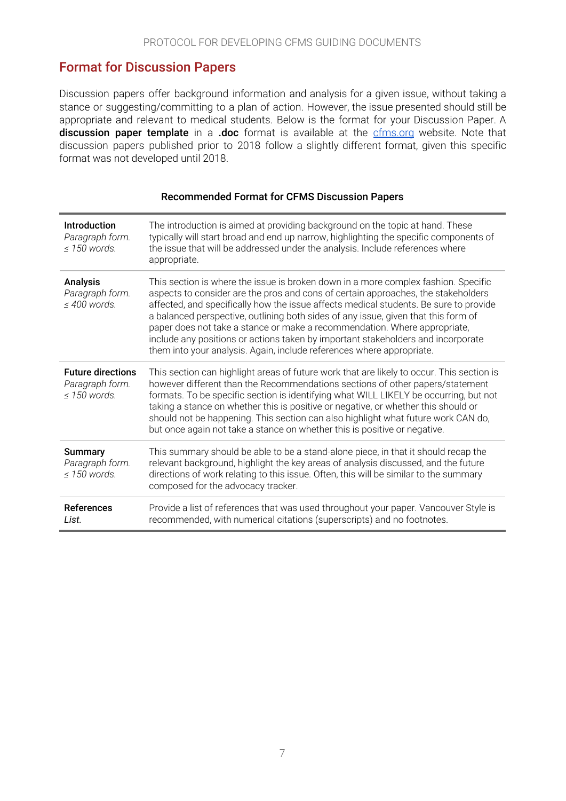### <span id="page-6-0"></span>Format for Discussion Papers

Discussion papers offer background information and analysis for a given issue, without taking a stance or suggesting/committing to a plan of action. However, the issue presented should still be appropriate and relevant to medical students. Below is the format for your Discussion Paper. A discussion paper template in a .doc format is available at the [cfms.org](https://www.cfms.org/what-we-do/advocacy/position-papers.html) website. Note that discussion papers published prior to 2018 follow a slightly different format, given this specific format was not developed until 2018.

| Introduction<br>Paragraph form.<br>$\leq$ 150 words.             | The introduction is aimed at providing background on the topic at hand. These<br>typically will start broad and end up narrow, highlighting the specific components of<br>the issue that will be addressed under the analysis. Include references where<br>appropriate.                                                                                                                                                                                                                                                                                                                          |
|------------------------------------------------------------------|--------------------------------------------------------------------------------------------------------------------------------------------------------------------------------------------------------------------------------------------------------------------------------------------------------------------------------------------------------------------------------------------------------------------------------------------------------------------------------------------------------------------------------------------------------------------------------------------------|
| <b>Analysis</b><br>Paragraph form.<br>$\leq 400$ words.          | This section is where the issue is broken down in a more complex fashion. Specific<br>aspects to consider are the pros and cons of certain approaches, the stakeholders<br>affected, and specifically how the issue affects medical students. Be sure to provide<br>a balanced perspective, outlining both sides of any issue, given that this form of<br>paper does not take a stance or make a recommendation. Where appropriate,<br>include any positions or actions taken by important stakeholders and incorporate<br>them into your analysis. Again, include references where appropriate. |
| <b>Future directions</b><br>Paragraph form.<br>$\leq$ 150 words. | This section can highlight areas of future work that are likely to occur. This section is<br>however different than the Recommendations sections of other papers/statement<br>formats. To be specific section is identifying what WILL LIKELY be occurring, but not<br>taking a stance on whether this is positive or negative, or whether this should or<br>should not be happening. This section can also highlight what future work CAN do,<br>but once again not take a stance on whether this is positive or negative.                                                                      |
| <b>Summary</b><br>Paragraph form.<br>$\leq$ 150 words.           | This summary should be able to be a stand-alone piece, in that it should recap the<br>relevant background, highlight the key areas of analysis discussed, and the future<br>directions of work relating to this issue. Often, this will be similar to the summary<br>composed for the advocacy tracker.                                                                                                                                                                                                                                                                                          |
| <b>References</b><br>List.                                       | Provide a list of references that was used throughout your paper. Vancouver Style is<br>recommended, with numerical citations (superscripts) and no footnotes.                                                                                                                                                                                                                                                                                                                                                                                                                                   |

#### Recommended Format for CFMS Discussion Papers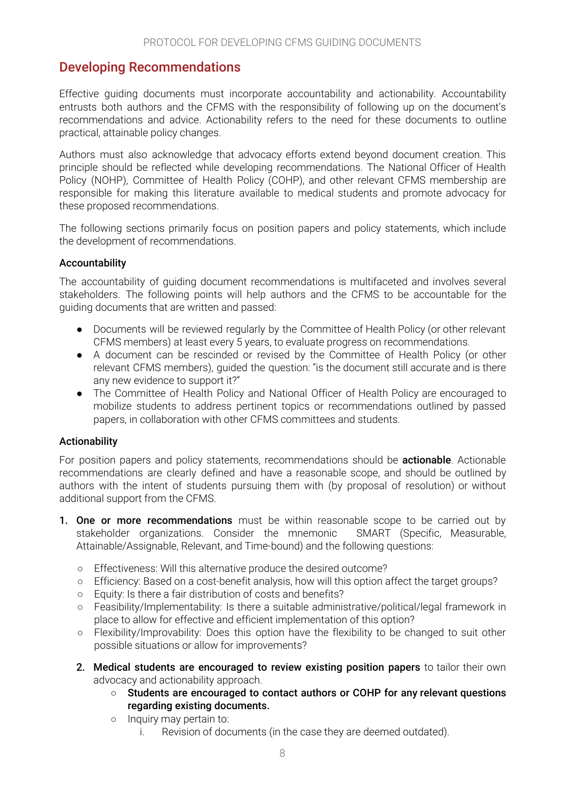### <span id="page-7-0"></span>Developing Recommendations

Effective guiding documents must incorporate accountability and actionability. Accountability entrusts both authors and the CFMS with the responsibility of following up on the document's recommendations and advice. Actionability refers to the need for these documents to outline practical, attainable policy changes.

Authors must also acknowledge that advocacy efforts extend beyond document creation. This principle should be reflected while developing recommendations. The National Officer of Health Policy (NOHP), Committee of Health Policy (COHP), and other relevant CFMS membership are responsible for making this literature available to medical students and promote advocacy for these proposed recommendations.

The following sections primarily focus on position papers and policy statements, which include the development of recommendations.

#### Accountability

The accountability of guiding document recommendations is multifaceted and involves several stakeholders. The following points will help authors and the CFMS to be accountable for the guiding documents that are written and passed:

- Documents will be reviewed regularly by the Committee of Health Policy (or other relevant CFMS members) at least every 5 years, to evaluate progress on recommendations.
- A document can be rescinded or revised by the Committee of Health Policy (or other relevant CFMS members), guided the question: "is the document still accurate and is there any new evidence to support it?"
- The Committee of Health Policy and National Officer of Health Policy are encouraged to mobilize students to address pertinent topics or recommendations outlined by passed papers, in collaboration with other CFMS committees and students.

#### Actionability

For position papers and policy statements, recommendations should be **actionable**. Actionable recommendations are clearly defined and have a reasonable scope, and should be outlined by authors with the intent of students pursuing them with (by proposal of resolution) or without additional support from the CFMS.

- **1. One or more recommendations** must be within reasonable scope to be carried out by stakeholder organizations. Consider the mnemonic SMART (Specific, Measurable, Attainable/Assignable, Relevant, and Time-bound) and the following questions:
	- Effectiveness: Will this alternative produce the desired outcome?
	- Efficiency: Based on a cost-benefit analysis, how will this option affect the target groups?
	- Equity: Is there a fair distribution of costs and benefits?
	- Feasibility/Implementability: Is there a suitable administrative/political/legal framework in place to allow for effective and efficient implementation of this option?
	- Flexibility/Improvability: Does this option have the flexibility to be changed to suit other possible situations or allow for improvements?
	- 2. Medical students are encouraged to review existing position papers to tailor their own advocacy and actionability approach.
		- Students are encouraged to contact authors or COHP for any relevant questions regarding existing documents.
		- Inquiry may pertain to:
			- i. Revision of documents (in the case they are deemed outdated).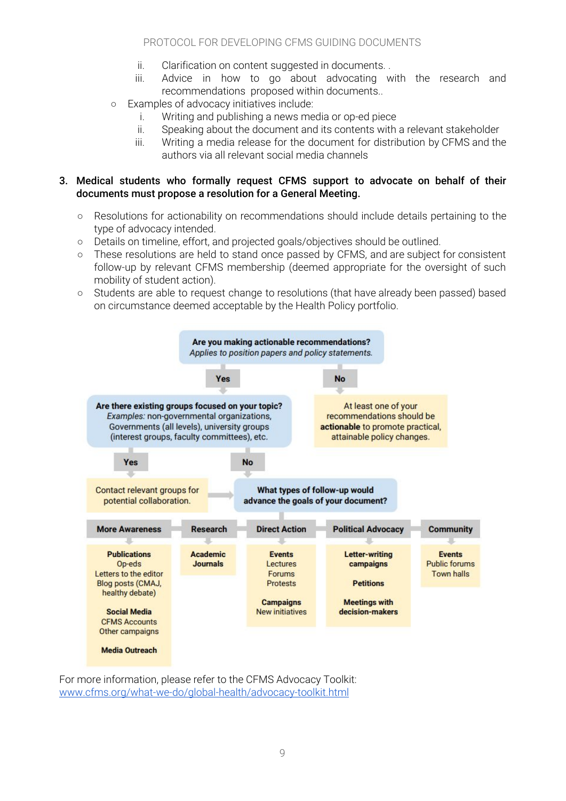- ii. Clarification on content suggested in documents. .
- iii. Advice in how to go about advocating with the research and recommendations proposed within documents..
- Examples of advocacy initiatives include:
	- i. Writing and publishing a news media or op-ed piece
	- ii. Speaking about the document and its contents with a relevant stakeholder
	- iii. Writing a media release for the document for distribution by CFMS and the authors via all relevant social media channels

#### 3. Medical students who formally request CFMS support to advocate on behalf of their documents must propose a resolution for a General Meeting.

- Resolutions for actionability on recommendations should include details pertaining to the type of advocacy intended.
- Details on timeline, effort, and projected goals/objectives should be outlined.
- These resolutions are held to stand once passed by CFMS, and are subject for consistent follow-up by relevant CFMS membership (deemed appropriate for the oversight of such mobility of student action).
- Students are able to request change to resolutions (that have already been passed) based on circumstance deemed acceptable by the Health Policy portfolio.



For more information, please refer to the CFMS Advocacy Toolkit: [www.cfms.org/what-we-do/global-health/advocacy-toolkit.html](https://www.cfms.org/what-we-do/global-health/advocacy-toolkit.html)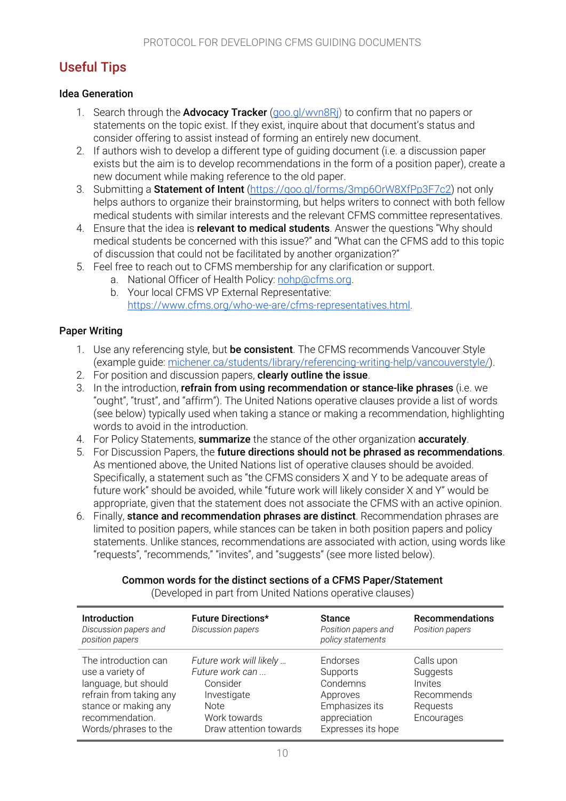## <span id="page-9-0"></span>Useful Tips

#### Idea Generation

- 1. Search through the **Advocacy Tracker** (goo.gl/wyn8Ri) to confirm that no papers or statements on the topic exist. If they exist, inquire about that document's status and consider offering to assist instead of forming an entirely new document.
- 2. If authors wish to develop a different type of guiding document (i.e. a discussion paper exists but the aim is to develop recommendations in the form of a position paper), create a new document while making reference to the old paper.
- 3. Submitting a **Statement of Intent** [\(https://goo.gl/forms/3mp6OrW8XfPp3F7c2](https://goo.gl/forms/3mp6OrW8XfPp3F7c2)) not only helps authors to organize their brainstorming, but helps writers to connect with both fellow medical students with similar interests and the relevant CFMS committee representatives.
- 4. Ensure that the idea is relevant to medical students. Answer the questions "Why should medical students be concerned with this issue?" and "What can the CFMS add to this topic of discussion that could not be facilitated by another organization?"
- 5. Feel free to reach out to CFMS membership for any clarification or support.
	- a. National Officer of Health Policy: [nohp@cfms.org](mailto:nohp@cfms.org).
	- b. Your local CFMS VP External Representative: <https://www.cfms.org/who-we-are/cfms-representatives.html>.

#### Paper Writing

- 1. Use any referencing style, but be consistent. The CFMS recommends Vancouver Style (example guide: [michener.ca/students/library/referencing-writing-help/vancouverstyle/\)](http://michener.ca/students/library/referencing-writing-help/vancouverstyle/).
- 2. For position and discussion papers, **clearly outline the issue**.
- 3. In the introduction, refrain from using recommendation or stance-like phrases (i.e. we "ought", "trust", and "affirm"). The United Nations operative clauses provide a list of words (see below) typically used when taking a stance or making a recommendation, highlighting words to avoid in the introduction.
- 4. For Policy Statements, summarize the stance of the other organization accurately.
- 5. For Discussion Papers, the future directions should not be phrased as recommendations. As mentioned above, the United Nations list of operative clauses should be avoided. Specifically, a statement such as "the CFMS considers X and Y to be adequate areas of future work" should be avoided, while "future work will likely consider X and Y" would be appropriate, given that the statement does not associate the CFMS with an active opinion.
- 6. Finally, stance and recommendation phrases are distinct. Recommendation phrases are limited to position papers, while stances can be taken in both position papers and policy statements. Unlike stances, recommendations are associated with action, using words like "requests", "recommends," "invites", and "suggests" (see more listed below).

#### Common words for the distinct sections of a CFMS Paper/Statement

| <b>Introduction</b><br>Discussion papers and<br>position papers                                                                                                | <b>Future Directions*</b><br>Discussion papers                                                                                 | <b>Stance</b><br>Position papers and<br>policy statements                                            | <b>Recommendations</b><br>Position papers                                 |
|----------------------------------------------------------------------------------------------------------------------------------------------------------------|--------------------------------------------------------------------------------------------------------------------------------|------------------------------------------------------------------------------------------------------|---------------------------------------------------------------------------|
| The introduction can<br>use a variety of<br>language, but should<br>refrain from taking any<br>stance or making any<br>recommendation.<br>Words/phrases to the | Future work will likely<br>Future work can<br>Consider<br>Investigate<br><b>Note</b><br>Work towards<br>Draw attention towards | Endorses<br>Supports<br>Condemns<br>Approves<br>Emphasizes its<br>appreciation<br>Expresses its hope | Calls upon<br>Suggests<br>Invites<br>Recommends<br>Requests<br>Encourages |

(Developed in part from United Nations operative clauses)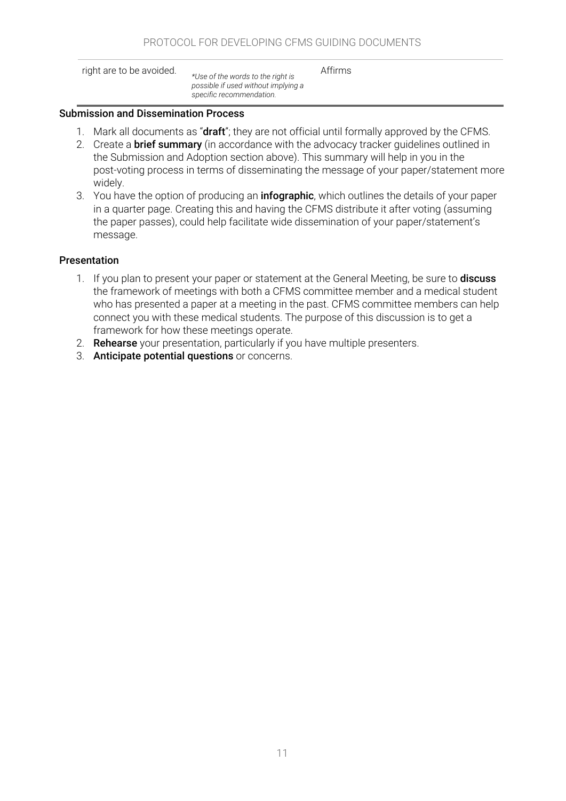right are to be avoided. *\*Use of the words to the right is possible if used without implying a specific recommendation.*

Affirms

#### Submission and Dissemination Process

- 1. Mark all documents as "draft"; they are not official until formally approved by the CFMS.
- 2. Create a **brief summary** (in accordance with the advocacy tracker quidelines outlined in the Submission and Adoption section above). This summary will help in you in the post-voting process in terms of disseminating the message of your paper/statement more widely.
- 3. You have the option of producing an **infographic**, which outlines the details of your paper in a quarter page. Creating this and having the CFMS distribute it after voting (assuming the paper passes), could help facilitate wide dissemination of your paper/statement's message.

#### Presentation

- 1. If you plan to present your paper or statement at the General Meeting, be sure to **discuss** the framework of meetings with both a CFMS committee member and a medical student who has presented a paper at a meeting in the past. CFMS committee members can help connect you with these medical students. The purpose of this discussion is to get a framework for how these meetings operate.
- 2. Rehearse your presentation, particularly if you have multiple presenters.
- 3. Anticipate potential questions or concerns.